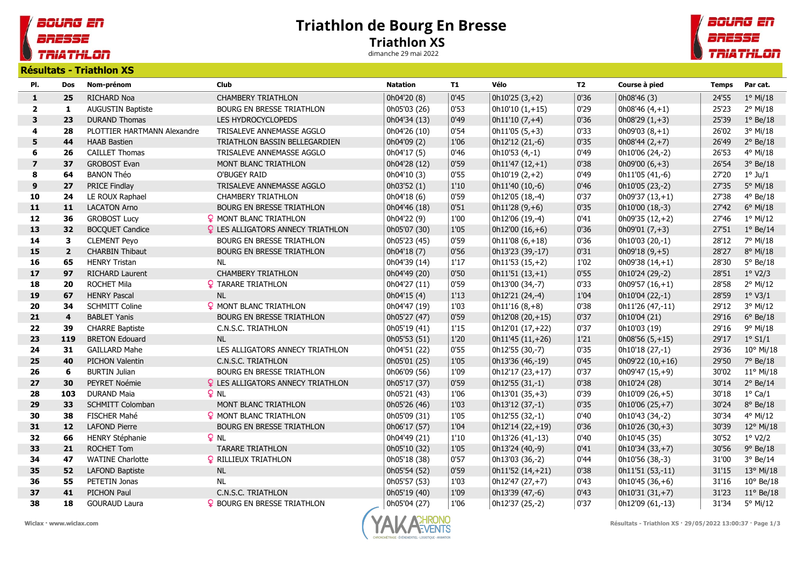## Triathlon de Bourg En Bresse Triathlon XS

dimanche 29 mai 2022



**TRIATHLON** 

soung en

BRESSE

|                |                         | Résultats - Triathlon XS    |                                          |                 |               |                  |           |                         |              |                    |
|----------------|-------------------------|-----------------------------|------------------------------------------|-----------------|---------------|------------------|-----------|-------------------------|--------------|--------------------|
| PI.            | <b>Dos</b>              | Nom-prénom                  | <b>Club</b>                              | <b>Natation</b> | <b>T1</b>     | Vélo             | <b>T2</b> | Course à pied           | <b>Temps</b> | Par cat.           |
| 1              | 25                      | RICHARD Noa                 | <b>CHAMBERY TRIATHLON</b>                | 0h04'20 (8)     | 0'45          | $0h10'25(3,+2)$  | 0'36      | 0h08'46 (3)             | 24'55        | $1^{\circ}$ Mi/18  |
| $\overline{2}$ | $\mathbf{1}$            | AUGUSTIN Baptiste           | <b>BOURG EN BRESSE TRIATHLON</b>         | 0h05'03 (26)    | 0'53          | $0h10'10(1,+15)$ | 0'29      | 0h08'46 $(4, +1)$       | 25'23        | 2° Mi/18           |
| 3              | 23                      | <b>DURAND Thomas</b>        | LES HYDROCYCLOPEDS                       | 0h04'34 (13)    | 0'49          | $0h11'10(7,+4)$  | 0'36      | $ 0h08'29(1,+3) $       | 25'39        | $1°$ Be/18         |
| 4              | 28                      | PLOTTIER HARTMANN Alexandre | TRISALEVE ANNEMASSE AGGLO                | 0h04'26 (10)    | 0'54          | $0h11'05(5,+3)$  | 0'33      | $0h09'03(8,+1)$         | 26'02        | 3° Mi/18           |
| 5              | 44                      | <b>HAAB Bastien</b>         | TRIATHLON BASSIN BELLEGARDIEN            | 0h04'09 (2)     | 1'06          | 0h12'12 (21,-6)  | 0'35      | $0h08'44(2,+7)$         | 26'49        | $2°$ Be/18         |
| 6              | 26                      | <b>CAILLET Thomas</b>       | TRISALEVE ANNEMASSE AGGLO                | 0h04'17 (5)     | 0'46          | $0h10'53(4,-1)$  | 0'49      | 0h10'06 (24,-2)         | 26'53        | 4° Mi/18           |
| $\overline{7}$ | 37                      | <b>GROBOST Evan</b>         | MONT BLANC TRIATHLON                     | 0h04'28 (12)    | 0'59          | $0h11'47(12,+1)$ | 0'38      | 0h09'00 $(6, +3)$       | 26'54        | $3°$ Be/18         |
| 8              | 64                      | <b>BANON Théo</b>           | O'BUGEY RAID                             | 0h04'10 (3)     | 0'55          | $0h10'19(2,+2)$  | 0'49      | 0h11'05 (41,-6)         | 27'20        | $1^{\circ}$ Ju/1   |
| $\mathbf{9}$   | 27                      | PRICE Findlay               | TRISALEVE ANNEMASSE AGGLO                | 0h03'52 (1)     | $1^\prime 10$ | 0h11'40 (10,-6)  | 0'46      | 0h10'05 (23,-2)         | 27'35        | 5° Mi/18           |
| 10             | 24                      | LE ROUX Raphael             | <b>CHAMBERY TRIATHLON</b>                | 0h04'18 (6)     | 0'59          | 0h12'05 (18,-4)  | 0'37      | $ 0h09'37(13,+1) $      | 27'38        | 4° Be/18           |
| 11             | 11                      | <b>LACATON Arno</b>         | BOURG EN BRESSE TRIATHLON                | 0h04'46 (18)    | 0'51          | $0h11'28(9, +6)$ | 0'35      | 0h10'00 (18,-3)         | 27'42        | 6° Mi/18           |
| 12             | 36                      | <b>GROBOST Lucy</b>         | <b>9 MONT BLANC TRIATHLON</b>            | 0h04'22 (9)     | 1'00          | 0h12'06 (19,-4)  | 0'41      | 0h09'35 (12,+2)         | 27'46        | $1°$ Mi/12         |
| 13             | 32                      | <b>BOCQUET Candice</b>      | <b>Q</b> LES ALLIGATORS ANNECY TRIATHLON | 0h05'07 (30)    | 1'05          | 0h12'00 (16,+6)  | 0'36      | $ 0h09'01(7,+3) $       | 27'51        | $1°$ Be/14         |
| 14             | 3                       | <b>CLEMENT Peyo</b>         | BOURG EN BRESSE TRIATHLON                | 0h05'23 (45)    | 0'59          | $0h11'08(6,+18)$ | 0'36      | 0h10'03 (20,-1)         | 28'12        | 7° Mi/18           |
| 15             | $\overline{\mathbf{2}}$ | <b>CHARBIN Thibaut</b>      | BOURG EN BRESSE TRIATHLON                | 0h04'18 (7)     | 0'56          | 0h13'23 (39,-17) | 0'31      | $  0h09'18 (9,+5)$      | 28'27        | 8° Mi/18           |
| 16             | 65                      | <b>HENRY Tristan</b>        | <b>NL</b>                                | 0h04'39 (14)    | 1'17          | $0h11'53(15,+2)$ | 1'02      | 0h09'38 $(14, +1)$      | 28'30        | $5^{\circ}$ Be/18  |
| 17             | 97                      | <b>RICHARD Laurent</b>      | <b>CHAMBERY TRIATHLON</b>                | 0h04'49 (20)    | 0'50          | $0h11'51(13,+1)$ | 0'55      | 0h10'24 (29,-2)         | 28'51        | 1° V2/3            |
| 18             | 20                      | <b>ROCHET Mila</b>          | <b>Q</b> TARARE TRIATHLON                | 0h04'27 (11)    | 0'59          | 0h13'00 (34,-7)  | 0'33      | $  0h09'57(16,+1)$      | 28'58        | 2° Mi/12           |
| 19             | 67                      | <b>HENRY Pascal</b>         | <b>NL</b>                                | 0h04'15 (4)     | 1'13          | 0h12'21 (24,-4)  | 1'04      | 0h10'04 (22,-1)         | 28'59        | $1^\circ$ V3/1     |
| 20             | 34                      | <b>SCHMITT Coline</b>       | <b>Q</b> MONT BLANC TRIATHLON            | 0h04'47 (19)    | 1'03          | $0h11'16(8,+8)$  | 0'38      | 0h11'26 (47,-11)        | 29'12        | 3° Mi/12           |
| 21             | $\overline{\mathbf{4}}$ | <b>BABLET Yanis</b>         | <b>BOURG EN BRESSE TRIATHLON</b>         | 0h05'27 (47)    | 0'59          | 0h12'08 (20,+15) | 0'37      | 0h10'04 (21)            | 29'16        | $6^{\circ}$ Be/18  |
| 22             | 39                      | <b>CHARRE Baptiste</b>      | C.N.S.C. TRIATHLON                       | 0h05'19 (41)    | 1'15          | 0h12'01 (17,+22) | 0'37      | 0h10'03 (19)            | 29'16        | 9° Mi/18           |
| 23             | 119                     | <b>BRETON Edouard</b>       | NL                                       | 0h05'53 (51)    | $1'20$        | 0h11'45 (11,+26) | 1'21      | $ 0h08'56(5,+15) $      | 29'17        | $1^\circ$ S1/1     |
| 24             | 31                      | <b>GAILLARD Mahe</b>        | LES ALLIGATORS ANNECY TRIATHLON          | 0h04'51 (22)    | 0'55          | 0h12'55 (30,-7)  | 0'35      | 0h10'18 (27,-1)         | 29'36        | $10^{\circ}$ Mi/18 |
| 25             | 40                      | PICHON Valentin             | C.N.S.C. TRIATHLON                       | 0h05'01 (25)    | 1'05          | 0h13'36 (46,-19) | $ 0'$ 45  | 0h09'22 (10,+16)        | 29'50        | 7° Be/18           |
| 26             | 6                       | <b>BURTIN Julian</b>        | BOURG EN BRESSE TRIATHLON                | 0h06'09 (56)    | 1'09          | 0h12'17 (23,+17) | 0'37      | 0h09'47 (15,+9)         | 30'02        | $11^{\circ}$ Mi/18 |
| 27             | 30                      | PEYRET Noémie               | <b>Q</b> LES ALLIGATORS ANNECY TRIATHLON | 0h05'17 (37)    | 0'59          | $0h12'55(31,-1)$ | 0'38      | 0h10'24 (28)            | 30'14        | $2°$ Be/14         |
| 28             | 103                     | <b>DURAND Maia</b>          | $P$ NL                                   | 0h05'21 (43)    | 1'06          | 0h13'01 (35,+3)  | 0'39      | 0h10'09 (26,+5)         | 30'18        | $1^{\circ}$ Ca/1   |
| 29             | 33                      | SCHMITT Colomban            | MONT BLANC TRIATHLON                     | 0h05'26 (46)    | 1'03          | 0h13'12 (37,-1)  | 0'35      | 0h10'06 (25,+7)         | 30'24        | 8° Be/18           |
| 30             | 38                      | FISCHER Mahé                | <b>9 MONT BLANC TRIATHLON</b>            | 0h05'09 (31)    | 1'05          | 0h12'55 (32,-1)  | 0'40      | 0h10'43 (34,-2)         | 30'34        | 4° Mi/12           |
| 31             | 12                      | <b>LAFOND Pierre</b>        | BOURG EN BRESSE TRIATHLON                | 0h06'17 (57)    | 1'04          | 0h12'14 (22,+19) | 0'36      | $0h10'26(30,+3)$        | 30'39        | 12° Mi/18          |
| 32             | 66                      | <b>HENRY Stéphanie</b>      | $Q$ NL                                   | 0h04'49 (21)    | 1'10          | 0h13'26 (41,-13) | 0'40      | 0h10'45 (35)            | 30'52        | $1^\circ$ V2/2     |
| 33             | 21                      | <b>ROCHET Tom</b>           | <b>TARARE TRIATHLON</b>                  | 0h05'10 (32)    | 1'05          | 0h13'24 (40,-9)  | 0'41      | $\vert$ 0h10'34 (33,+7) | 30'56        | $9°$ Be/18         |
| 34             | 47                      | <b>WATINE Charlotte</b>     | <b>Q</b> RILLIEUX TRIATHLON              | 0h05'18 (38)    | 0'57          | 0h13'03 (36,-2)  | 0'44      | 0h10'56 (38,-3)         | 31'00        | $3°$ Be/14         |
| 35             | 52                      | <b>LAFOND Baptiste</b>      | <b>NL</b>                                | 0h05'54 (52)    | 0'59          | 0h11'52 (14,+21) | 0'38      | 0h11'51 (53,-11)        | 31'15        | 13° Mi/18          |
| 36             | 55                      | PETETIN Jonas               | <b>NL</b>                                | 0h05'57 (53)    | 1'03          | 0h12'47 (27,+7)  | 0'43      | 0h10'45 (36,+6)         | 31'16        | $10^{\circ}$ Be/18 |
| 37             | 41                      | PICHON Paul                 | C.N.S.C. TRIATHLON                       | 0h05'19 (40)    | 1'09          | 0h13'39 (47,-6)  | 0'43      | $0h10'31(31,+7)$        | 31'23        | $11^{\circ}$ Be/18 |
| 38             | 18                      | <b>GOURAUD Laura</b>        | <b>Q</b> BOURG EN BRESSE TRIATHLON       | 0h05'04 (27)    | 1'06          | 0h12'37 (25,-2)  | 0'37      | 0h12'09 (61,-13)        | 31'34        | 5° Mi/12           |





Wiclax · www.wiclax.com examples and the set of the set of the Magnus Community Community Community Résultats - Triathlon XS · 29/05/2022 13:00:37 · Page 1/3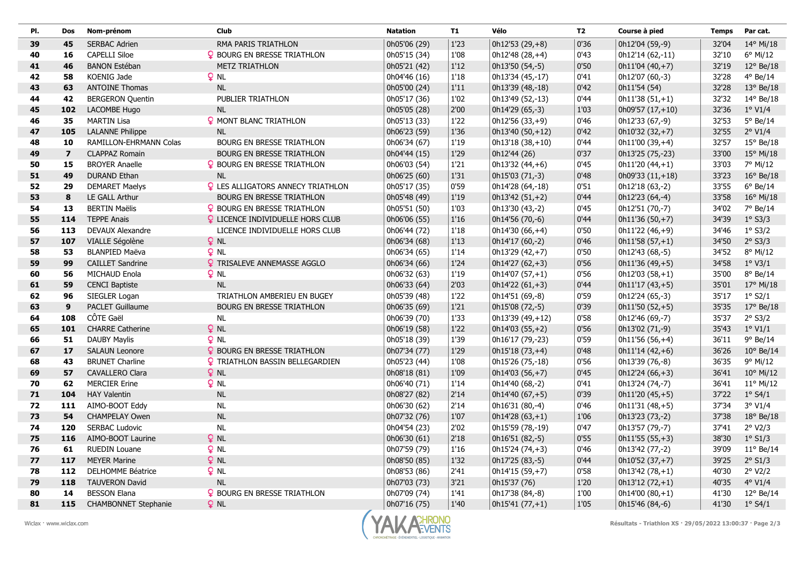| PI. | Dos                     | Nom-prénom                  | <b>Club</b>                              | <b>Natation</b> | T1   | Vélo              | <b>T2</b> | Course à pied     | <b>Temps</b> | Par cat.           |
|-----|-------------------------|-----------------------------|------------------------------------------|-----------------|------|-------------------|-----------|-------------------|--------------|--------------------|
| 39  | 45                      | <b>SERBAC Adrien</b>        | RMA PARIS TRIATHLON                      | 0h05'06 (29)    | 1'23 | 0h12'53 (29,+8)   | 0'36      | 0h12'04 (59,-9)   | 32'04        | 14° Mi/18          |
| 40  | 16                      | <b>CAPELLI Siloe</b>        | <b>Q</b> BOURG EN BRESSE TRIATHLON       | 0h05'15 (34)    | 1'08 | 0h12'48 (28,+4)   | 0'43      | 0h12'14 (62,-11)  | 32'10        | 6° Mi/12           |
| 41  | 46                      | <b>BANON Estéban</b>        | <b>METZ TRIATHLON</b>                    | 0h05'21 (42)    | 1'12 | 0h13'50 (54,-5)   | 0'50      | $0h11'04(40,+7)$  | 32'19        | $12^{\circ}$ Be/18 |
| 42  | 58                      | KOENIG Jade                 | $Q$ NL                                   | 0h04'46 (16)    | 1'18 | 0h13'34 (45,-17)  | 0'41      | 0h12'07 (60,-3)   | 32'28        | 4° Be/14           |
| 43  | 63                      | <b>ANTOINE Thomas</b>       | <b>NL</b>                                | 0h05'00 (24)    | 1'11 | 0h13'39 (48,-18)  | 0'42      | 0h11'54 (54)      | 32'28        | $13°$ Be/18        |
| 44  | 42                      | <b>BERGERON Quentin</b>     | PUBLIER TRIATHLON                        | 0h05'17 (36)    | 1'02 | 0h13'49 (52,-13)  | 0'44      | $0h11'38(51,+1)$  | 32'32        | 14° Be/18          |
| 45  | 102                     | LACOMBE Hugo                | <b>NL</b>                                | 0h05'05 (28)    | 2'00 | 0h14'29 (65,-3)   | 1'03      | $0h09'57(17,+10)$ | 32'36        | $1°$ V1/4          |
| 46  | 35                      | <b>MARTIN Lisa</b>          | <b>Q</b> MONT BLANC TRIATHLON            | 0h05'13 (33)    | 1'22 | 0h12'56 (33,+9)   | 0'46      | 0h12'33 (67,-9)   | 32'53        | 5° Be/14           |
| 47  | 105                     | <b>LALANNE Philippe</b>     | <b>NL</b>                                | 0h06'23 (59)    | 1'36 | $0h13'40(50,+12)$ | 0'42      | 0h10'32 (32,+7)   | 32'55        | $2^{\circ}$ V1/4   |
| 48  | 10                      | RAMILLON-EHRMANN Colas      | BOURG EN BRESSE TRIATHLON                | 0h06'34 (67)    | 1'19 | 0h13'18 (38,+10)  | 0'44      | $0h11'00(39,+4)$  | 32'57        | $15^{\circ}$ Be/18 |
| 49  | $\overline{\mathbf{z}}$ | <b>CLAPPAZ Romain</b>       | <b>BOURG EN BRESSE TRIATHLON</b>         | 0h04'44 (15)    | 1'29 | 0h12'44 (26)      | 0'37      | 0h13'25 (75,-23)  | 33'00        | $15^{\circ}$ Mi/18 |
| 50  | 15                      | <b>BROYER Anaelle</b>       | <b>9 BOURG EN BRESSE TRIATHLON</b>       | 0h06'03 (54)    | 1'21 | $0h13'32(44,+6)$  | 0'45      | $0h11'20(44,+1)$  | 33'03        | 7° Mi/12           |
| 51  | 49                      | <b>DURAND Ethan</b>         | <b>NL</b>                                | 0h06'25 (60)    | 1'31 | 0h15'03 (71,-3)   | 0'48      | 0h09'33 (11,+18)  | 33'23        | $16^{\circ}$ Be/18 |
| 52  | 29                      | <b>DEMARET Maelys</b>       | <b>Q</b> LES ALLIGATORS ANNECY TRIATHLON | 0h05'17 (35)    | 0'59 | 0h14'28 (64,-18)  | 0'51      | 0h12'18 (63,-2)   | 33'55        | $6°$ Be/14         |
| 53  | 8                       | LE GALL Arthur              | <b>BOURG EN BRESSE TRIATHLON</b>         | 0h05'48 (49)    | 1'19 | $0h13'42(51,+2)$  | 0'44      | 0h12'23 (64,-4)   | 33'58        | $16^{\circ}$ Mi/18 |
| 54  | 13                      | <b>BERTIN Maëlis</b>        | <b>9 BOURG EN BRESSE TRIATHLON</b>       | 0h05'51 (50)    | 1'03 | 0h13'30 (43,-2)   | 0'45      | 0h12'51 (70,-7)   | 34'02        | 7° Be/14           |
| 55  | 114                     | <b>TEPPE Anais</b>          | <b>Q</b> LICENCE INDIVIDUELLE HORS CLUB  | 0h06'06 (55)    | 1'16 | 0h14'56 (70,-6)   | 0'44      | $0h11'36(50,+7)$  | 34'39        | $1°$ S3/3          |
| 56  | 113                     | <b>DEVAUX Alexandre</b>     | LICENCE INDIVIDUELLE HORS CLUB           | 0h06'44 (72)    | 1'18 | 0h14'30 (66,+4)   | 0'50      | 0h11'22 (46,+9)   | 34'46        | $1°$ S3/2          |
| 57  | 107                     | VIALLE Ségolène             | <b>Q</b> NL                              | 0h06'34 (68)    | 1'13 | 0h14'17 (60,-2)   | 0'46      | $0h11'58(57,+1)$  | 34'50        | $2°$ S3/3          |
| 58  | 53                      | <b>BLANPIED Maëva</b>       | $Q$ NL                                   | 0h06'34 (65)    | 1'14 | 0h13'29 (42,+7)   | 0'50      | 0h12'43 (68,-5)   | 34'52        | 8° Mi/12           |
| 59  | 99                      | <b>CAILLET Sandrine</b>     | <b>Q</b> TRISALEVE ANNEMASSE AGGLO       | 0h06'34 (66)    | 1'24 | $0h14'27(62,+3)$  | 0'56      | $0h11'36(49,+5)$  | 34'58        | $1°$ V3/1          |
| 60  | 56                      | MICHAUD Enola               | $Q$ NL                                   | 0h06'32 (63)    | 1'19 | $0h14'07(57,+1)$  | 0'56      | $0h12'03(58,+1)$  | 35'00        | 8° Be/14           |
| 61  | 59                      | <b>CENCI Baptiste</b>       | NL                                       | 0h06'33 (64)    | 2'03 | $0h14'22(61,+3)$  | 0'44      | $0h11'17(43,+5)$  | 35'01        | $17^{\circ}$ Mi/18 |
| 62  | 96                      | SIEGLER Logan               | TRIATHLON AMBERIEU EN BUGEY              | 0h05'39 (48)    | 1'22 | 0h14'51 (69,-8)   | 0'59      | 0h12'24 (65,-3)   | 35'17        | $1°$ S2/1          |
| 63  | $\overline{9}$          | PACLET Guillaume            | BOURG EN BRESSE TRIATHLON                | 0h06'35 (69)    | 1'21 | 0h15'08 (72,-5)   | 0'39      | $0h11'50(52,+5)$  | 35'35        | $17^{\circ}$ Be/18 |
| 64  | 108                     | CÔTE Gaël                   | <b>NL</b>                                | 0h06'39 (70)    | 1'33 | 0h13'39 (49,+12)  | 0'58      | 0h12'46 (69,-7)   | 35'37        | $2°$ S3/2          |
| 65  | 101                     | <b>CHARRE Catherine</b>     | $Q$ NL                                   | 0h06'19 (58)    | 1'22 | $0h14'03(55,+2)$  | 0'56      | 0h13'02 (71,-9)   | 35'43        | $1^\circ$ V1/1     |
| 66  | 51                      | <b>DAUBY Maylis</b>         | $Q$ NL                                   | 0h05'18 (39)    | 1'39 | 0h16'17 (79,-23)  | 0'59      | $0h11'56(56,+4)$  | 36'11        | 9° Be/14           |
| 67  | 17                      | <b>SALAUN Leonore</b>       | <b>9 BOURG EN BRESSE TRIATHLON</b>       | 0h07'34 (77)    | 1'29 | $0h15'18(73,+4)$  | 0'48      | $0h11'14(42,+6)$  | 36'26        | $10^{\circ}$ Be/14 |
| 68  | 43                      | <b>BRUNET Charline</b>      | <b>Q</b> TRIATHLON BASSIN BELLEGARDIEN   | 0h05'23 (44)    | 1'08 | 0h15'26 (75,-18)  | 0'56      | 0h13'39 (76,-8)   | 36'35        | 9° Mi/12           |
| 69  | 57                      | <b>CAVALLERO Clara</b>      | $Q$ NL                                   | 0h08'18 (81)    | 1'09 | $0h14'03(56,+7)$  | 0'45      | $0h12'24(66,+3)$  | 36'41        | $10^{\circ}$ Mi/12 |
| 70  | 62                      | <b>MERCIER Erine</b>        | $Q$ NL                                   | 0h06'40 (71)    | 1'14 | 0h14'40 (68,-2)   | 0'41      | 0h13'24 (74,-7)   | 36'41        | $11^{\circ}$ Mi/12 |
| 71  | 104                     | <b>HAY Valentin</b>         | <b>NL</b>                                | 0h08'27 (82)    | 2'14 | 0h14'40 (67,+5)   | 0'39      | 0h11'20 (45,+5)   | 37'22        | $1°$ S4/1          |
| 72  | 111                     | AIMO-BOOT Eddy              | $\sf NL$                                 | 0h06'30 (62)    | 2'14 | 0h16'31 (80,-4)   | 0'46      | $0h11'31(48,+5)$  | 37'34        | $3°$ V1/4          |
| 73  | 54                      | <b>CHAMPELAY Owen</b>       | <b>NL</b>                                | 0h07'32 (76)    | 1'07 | $0h14'28(63,+1)$  | 1'06      | 0h13'23 (73,-2)   | 37'38        | $18^{\circ}$ Be/18 |
| 74  | 120                     | <b>SERBAC Ludovic</b>       | <b>NL</b>                                | 0h04'54 (23)    | 2'02 | 0h15'59 (78,-19)  | 0'47      | 0h13'57 (79,-7)   | 37'41        | 2° V2/3            |
| 75  | 116                     | AIMO-BOOT Laurine           | $Q$ NL                                   | 0h06'30 (61)    | 2'18 | 0h16'51 (82,-5)   | 0'55      | $0h11'55(55,+3)$  | 38'30        | $1°$ S1/3          |
| 76  | 61                      | <b>RUEDIN Louane</b>        | 9NL                                      | 0h07'59 (79)    | 1'16 | 0h15'24 (74,+3)   | 0'46      | 0h13'42 (77,-2)   | 39'09        | $11^{\circ}$ Be/14 |
| 77  | 117                     | <b>MEYER Marine</b>         | $Q$ NL                                   | 0h08'50 (85)    | 1'32 | 0h17'25 (83,-5)   | 0'44      | 0h10'52 (37,+7)   | 39'25        | $2°$ S1/3          |
| 78  | 112                     | DELHOMME Béatrice           | P <sub>NL</sub>                          | 0h08'53 (86)    | 2'41 | 0h14'15 (59,+7)   | 0'58      | $0h13'42(78,+1)$  | 40'30        | 2° V2/2            |
| 79  | 118                     | <b>TAUVERON David</b>       | <b>NL</b>                                | 0h07'03 (73)    | 3'21 | 0h15'37 (76)      | 1'20      | $0h13'12(72,+1)$  | 40'35        | $4^{\circ}$ V1/4   |
| 80  | 14                      | <b>BESSON Elana</b>         | <b>Q</b> BOURG EN BRESSE TRIATHLON       | 0h07'09 (74)    | 1'41 | 0h17'38 (84,-8)   | 1'00      | $0h14'00(80,+1)$  | 41'30        | 12° Be/14          |
| 81  | 115                     | <b>CHAMBONNET Stephanie</b> | $Q$ NL                                   | 0h07'16 (75)    | 1'40 | $0h15'41(77,+1)$  | 1'05      | 0h15'46 (84,-6)   | 41'30        | $1°$ S4/1          |

 $\sim$